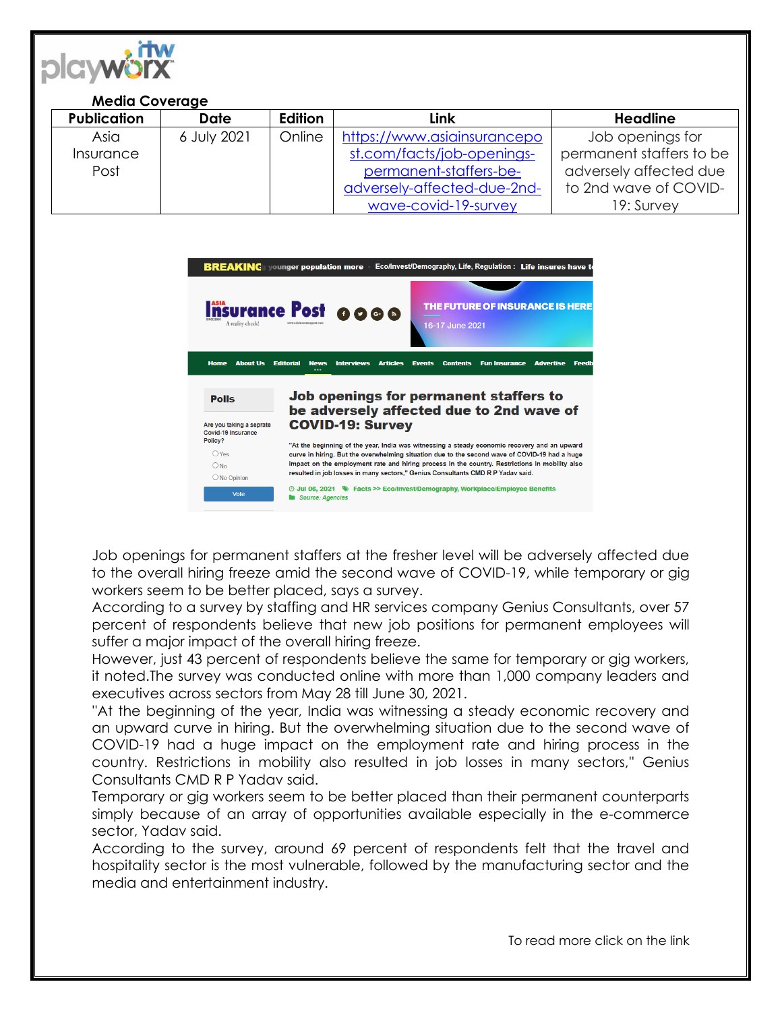

| <b>Media Coverage</b> |             |                |                             |                          |
|-----------------------|-------------|----------------|-----------------------------|--------------------------|
| <b>Publication</b>    | Date        | <b>Edition</b> | Link                        | <b>Headline</b>          |
| Asia                  | 6 July 2021 | Online         | https://www.asiainsurancepo | Job openings for         |
| Insurance             |             |                | st.com/facts/job-openings-  | permanent staffers to be |
| Post                  |             |                | permanent-staffers-be-      | adversely affected due   |
|                       |             |                | adversely-affected-due-2nd- | to 2nd wave of COVID-    |
|                       |             |                | wave-covid-19-survey        | 19: Survey               |



Job openings for permanent staffers at the fresher level will be adversely affected due to the overall hiring freeze amid the second wave of COVID-19, while temporary or gig workers seem to be better placed, says a survey.

According to a survey by staffing and HR services company Genius Consultants, over 57 percent of respondents believe that new job positions for permanent employees will suffer a major impact of the overall hiring freeze.

However, just 43 percent of respondents believe the same for temporary or gig workers, it noted.The survey was conducted online with more than 1,000 company leaders and executives across sectors from May 28 till June 30, 2021.

''At the beginning of the year, India was witnessing a steady economic recovery and an upward curve in hiring. But the overwhelming situation due to the second wave of COVID-19 had a huge impact on the employment rate and hiring process in the country. Restrictions in mobility also resulted in job losses in many sectors,'' Genius Consultants CMD R P Yadav said.

Temporary or gig workers seem to be better placed than their permanent counterparts simply because of an array of opportunities available especially in the e-commerce sector, Yadav said.

According to the survey, around 69 percent of respondents felt that the travel and hospitality sector is the most vulnerable, followed by the manufacturing sector and the media and entertainment industry.

To read more click on the link